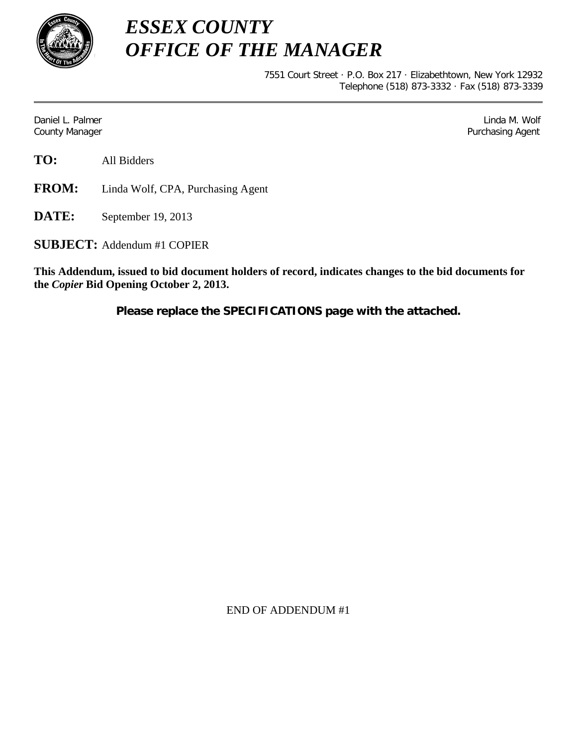

*ESSEX COUNTY OFFICE OF THE MANAGER*

> 7551 Court Street · P.O. Box 217 · Elizabethtown, New York 12932 Telephone (518) 873-3332 · Fax (518) 873-3339

Daniel L. Palmer Linda M. Wolf County Manager **Purchasing Agent** County Manager **Purchasing Agent** County Manager

**TO:** All Bidders

**FROM:** Linda Wolf, CPA, Purchasing Agent

**DATE:** September 19, 2013

**SUBJECT:** Addendum #1 COPIER

**This Addendum, issued to bid document holders of record, indicates changes to the bid documents for the** *Copier* **Bid Opening October 2, 2013.**

**Please replace the SPECIFICATIONS page with the attached.**

END OF ADDENDUM #1